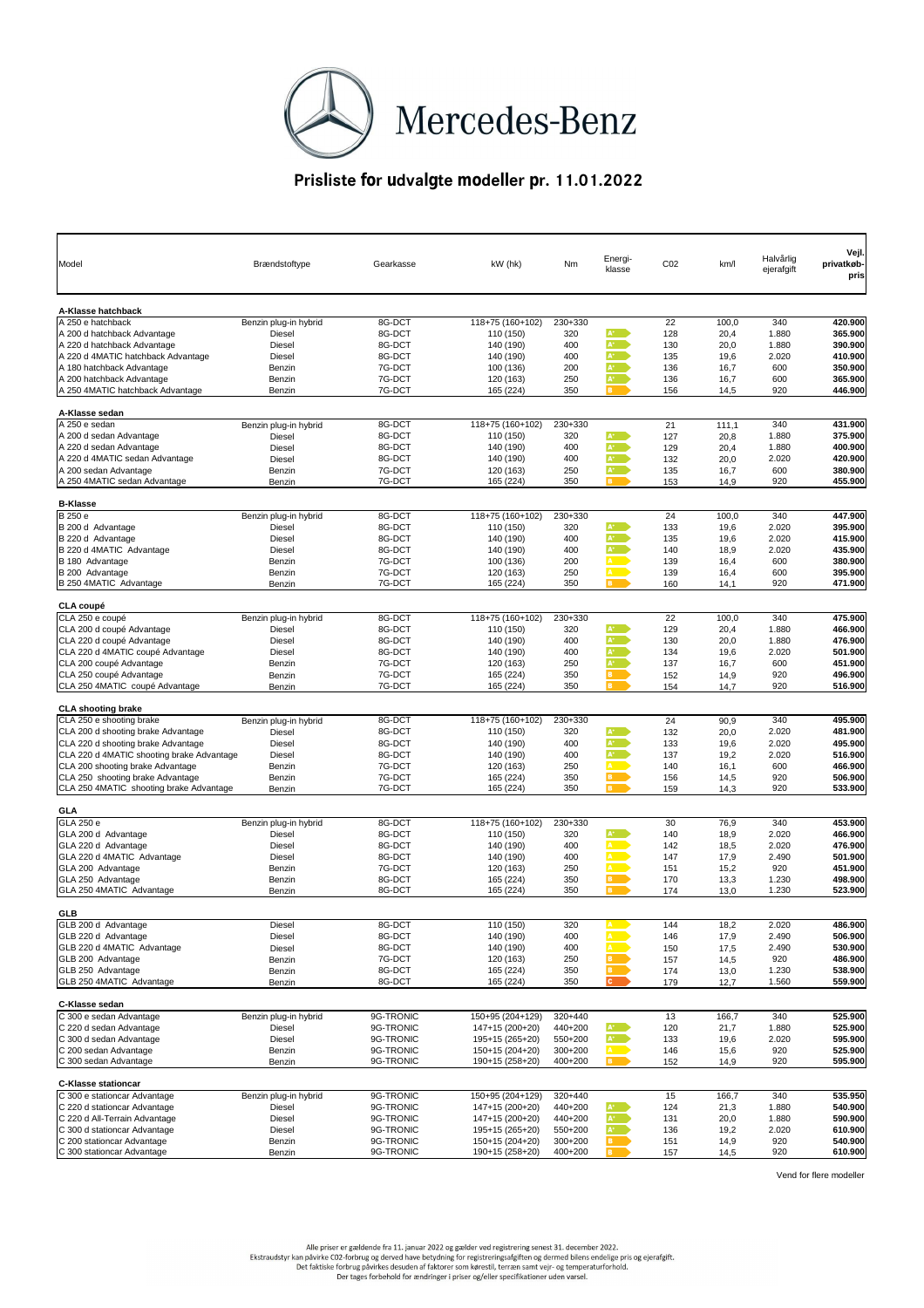|                                                           |                                        |                  |                                     |            |                |                 |               |            | Vejl.              |
|-----------------------------------------------------------|----------------------------------------|------------------|-------------------------------------|------------|----------------|-----------------|---------------|------------|--------------------|
| Model                                                     | <b>Brændstoftype</b>                   | Gearkasse        | kW (hk)                             | <b>Nm</b>  | Energi-        | CO <sub>2</sub> | km/l          | Halvårlig  | privatkøb-         |
|                                                           |                                        |                  |                                     |            | klasse         |                 |               | ejerafgift | pris               |
|                                                           |                                        |                  |                                     |            |                |                 |               |            |                    |
|                                                           |                                        |                  |                                     |            |                |                 |               |            |                    |
| A-Klasse hatchback                                        |                                        |                  |                                     |            |                |                 |               |            |                    |
| A 250 e hatchback                                         | Benzin plug-in hybrid                  | 8G-DCT           | 118+75 (160+102)                    | 230+330    |                | 22              | 100,0         | 340        | 420.900            |
| A 200 d hatchback Advantage                               | <b>Diesel</b>                          | 8G-DCT           | 110 (150)                           | 320        | $A^+$          | 128             | 20,4          | 1.880      | 365.900            |
| A 220 d hatchback Advantage                               | <b>Diesel</b>                          | 8G-DCT           | 140 (190)                           | 400        | $A^*$          | 130             | 20,0          | 1.880      | 390.900            |
| A 220 d 4MATIC hatchback Advantage                        | <b>Diesel</b>                          | 8G-DCT           | 140 (190)                           | 400        | $A^+$          | 135             | 19,6          | 2.020      | 410.900            |
| A 180 hatchback Advantage                                 | <b>Benzin</b>                          | 7G-DCT           | 100 (136)                           | 200        | $A^+$          | 136             | 16,7          | 600        | 350.900            |
| A 200 hatchback Advantage                                 | Benzin                                 | 7G-DCT           | 120 (163)                           | 250        | $A^+$          | 136             | 16,7          | 600        | 365.900            |
| A 250 4MATIC hatchback Advantage                          | <b>Benzin</b>                          | 7G-DCT           | 165 (224)                           | 350        | <b>B</b>       | 156             | 14,5          | 920        | 446.900            |
|                                                           |                                        |                  |                                     |            |                |                 |               |            |                    |
| A-Klasse sedan                                            |                                        |                  |                                     |            |                |                 |               |            |                    |
| A 250 e sedan                                             | Benzin plug-in hybrid                  | 8G-DCT           | 118+75 (160+102)                    | 230+330    |                | 21              | 111,1         | 340        | 431.900            |
| A 200 d sedan Advantage                                   | <b>Diesel</b>                          | 8G-DCT           | 110 (150)                           | 320        | $A^+$          | 127             | 20,8          | 1.880      | 375.900            |
| A 220 d sedan Advantage                                   | <b>Diesel</b>                          | 8G-DCT           | 140 (190)                           | 400        | $A^*$          | 129             | 20,4          | 1.880      | 400.900            |
| A 220 d 4MATIC sedan Advantage                            | <b>Diesel</b>                          | 8G-DCT           | 140 (190)                           | 400        | $A^+$          | 132             | 20,0          | 2.020      | 420.900            |
| A 200 sedan Advantage                                     | <b>Benzin</b>                          | 7G-DCT           | 120 (163)                           | 250        | $A^+$          | 135             | 16,7          | 600        | 380.900            |
| A 250 4MATIC sedan Advantage                              | <b>Benzin</b>                          | 7G-DCT           | 165 (224)                           | 350        | B              | 153             | 14,9          | 920        | 455.900            |
|                                                           |                                        |                  |                                     |            |                |                 |               |            |                    |
| <b>B-Klasse</b>                                           |                                        |                  |                                     |            |                |                 |               |            |                    |
| <b>B</b> 250 e                                            | Benzin plug-in hybrid                  | 8G-DCT           | 118+75 (160+102)                    | 230+330    |                | 24              | 100,0         | 340        | 447.900            |
| B 200 d Advantage                                         | <b>Diesel</b>                          | 8G-DCT           | 110 (150)                           | 320        | $A^+$          | 133             | 19,6          | 2.020      | 395.900            |
| B 220 d Advantage                                         | <b>Diesel</b>                          | 8G-DCT           | 140 (190)                           | 400        | $A^+$          | 135             | 19,6          | 2.020      | 415.900            |
| B 220 d 4MATIC Advantage                                  | <b>Diesel</b>                          | 8G-DCT           | 140 (190)                           | 400        | $A^+$          | 140             | 18,9          | 2.020      | 435.900            |
| B 180 Advantage                                           | <b>Benzin</b>                          | 7G-DCT           | 100 (136)                           | 200        | A,             | 139             | 16,4          | 600        | 380.900            |
| B 200 Advantage                                           | <b>Benzin</b>                          | 7G-DCT           | 120 (163)                           | 250        | A              | 139             | 16,4          | 600        | 395.900            |
| B 250 4MATIC Advantage                                    | <b>Benzin</b>                          | 7G-DCT           | 165 (224)                           | 350        | $\overline{B}$ | 160             | 14,1          | 920        | 471.900            |
|                                                           |                                        |                  |                                     |            |                |                 |               |            |                    |
| <b>CLA coupé</b>                                          |                                        |                  |                                     |            |                |                 |               |            |                    |
| CLA 250 e coupé                                           | Benzin plug-in hybrid                  | 8G-DCT           | 118+75 (160+102)                    | 230+330    |                | 22              | 100,0         | 340        | 475.900            |
| CLA 200 d coupé Advantage                                 | <b>Diesel</b>                          | 8G-DCT           | 110 (150)                           | 320        | $A^+$<br>$A^*$ | 129             | 20,4          | 1.880      | 466.900            |
| CLA 220 d coupé Advantage                                 | <b>Diesel</b>                          | 8G-DCT           | 140 (190)                           | 400        | $A^+$          | 130             | 20,0          | 1.880      | 476.900            |
| CLA 220 d 4MATIC coupé Advantage                          | <b>Diesel</b>                          | 8G-DCT           | 140 (190)                           | 400        | $A^+$          | 134             | 19,6          | 2.020      | 501.900            |
| CLA 200 coupé Advantage                                   | <b>Benzin</b>                          | 7G-DCT           | 120 (163)                           | 250        | B <sub>1</sub> | 137             | 16,7          | 600        | 451.900            |
| CLA 250 coupé Advantage<br>CLA 250 4MATIC coupé Advantage | Benzin                                 | 7G-DCT<br>7G-DCT | 165 (224)<br>165 (224)              | 350<br>350 | <b>B</b>       | 152<br>154      | 14,9          | 920<br>920 | 496.900<br>516.900 |
|                                                           | Benzin                                 |                  |                                     |            |                |                 | 14,7          |            |                    |
| <b>CLA shooting brake</b>                                 |                                        |                  |                                     |            |                |                 |               |            |                    |
| CLA 250 e shooting brake                                  | Benzin plug-in hybrid                  | 8G-DCT           | 118+75 (160+102)                    | 230+330    |                | 24              | 90,9          | 340        | 495.900            |
| CLA 200 d shooting brake Advantage                        | <b>Diesel</b>                          | 8G-DCT           | 110 (150)                           | 320        | $A^+$          | 132             | 20,0          | 2.020      | 481.900            |
| CLA 220 d shooting brake Advantage                        | <b>Diesel</b>                          | 8G-DCT           | 140 (190)                           | 400        | $A^+$          | 133             | 19,6          | 2.020      | 495.900            |
| CLA 220 d 4MATIC shooting brake Advantage                 | <b>Diesel</b>                          | 8G-DCT           | 140 (190)                           | 400        | $A^+$          | 137             | 19,2          | 2.020      | 516.900            |
| CLA 200 shooting brake Advantage                          | <b>Benzin</b>                          | 7G-DCT           | 120 (163)                           | 250        | <b>A</b>       | 140             | 16,1          | 600        | 466.900            |
| CLA 250 shooting brake Advantage                          | <b>Benzin</b>                          | 7G-DCT           | 165 (224)                           | 350        | <b>B</b>       | 156             | 14,5          | 920        | 506.900            |
| CLA 250 4MATIC shooting brake Advantage                   | <b>Benzin</b>                          | 7G-DCT           | 165 (224)                           | 350        | B              | 159             | 14,3          | 920        | 533.900            |
|                                                           |                                        |                  |                                     |            |                |                 |               |            |                    |
| <b>GLA</b>                                                |                                        |                  |                                     |            |                |                 |               |            |                    |
| GLA 250 e                                                 | Benzin plug-in hybrid                  | 8G-DCT           | 118+75 (160+102)                    | 230+330    |                | 30              | 76,9          | 340        | 453.900            |
| GLA 200 d Advantage                                       | <b>Diesel</b>                          | 8G-DCT           | 110 (150)                           | 320        | $A^+$          | 140             | 18,9          | 2.020      | 466.900            |
| GLA 220 d Advantage                                       | <b>Diesel</b>                          | 8G-DCT           | 140 (190)                           | 400        | <b>A</b>       | 142             | 18,5          | 2.020      | 476.900            |
| GLA 220 d 4MATIC Advantage                                | <b>Diesel</b>                          | 8G-DCT           | 140 (190)                           | 400        | <b>A</b>       | 147             | 17,9          | 2.490      | 501.900            |
| GLA 200 Advantage                                         | <b>Benzin</b>                          | 7G-DCT           | 120 (163)                           | 250        | <b>A</b>       | 151             | 15,2          | 920        | 451.900            |
| GLA 250 Advantage                                         | <b>Benzin</b>                          | 8G-DCT           | 165 (224)                           | 350        | B <sub>3</sub> | 170             | 13,3          | 1.230      | 498.900            |
| GLA 250 4MATIC Advantage                                  | <b>Benzin</b>                          | 8G-DCT           | 165 (224)                           | 350        | в.             | 174             | 13,0          | 1.230      | 523.900            |
|                                                           |                                        |                  |                                     |            |                |                 |               |            |                    |
| <b>GLB</b>                                                |                                        |                  |                                     |            |                |                 |               |            |                    |
| GLB 200 d Advantage                                       | <b>Diesel</b>                          | 8G-DCT           | 110 (150)                           | 320        | $\mathbf{A}$   | 144             | 18,2          | 2.020      | 486.900            |
| GLB 220 d Advantage                                       | <b>Diesel</b>                          | 8G-DCT           | 140 (190)                           | 400        | A D            | 146             | 17,9          | 2.490      | 506.900            |
| GLB 220 d 4MATIC Advantage                                | <b>Diesel</b>                          | 8G-DCT           | 140 (190)                           | 400        | A <sub>b</sub> | 150             | 17,5          | 2.490      | 530.900            |
| GLB 200 Advantage                                         | Benzin                                 | 7G-DCT           | 120 (163)                           | 250        | <b>B</b>       | 157             | 14,5          | 920        | 486.900            |
| GLB 250 Advantage                                         | Benzin                                 | 8G-DCT           | 165 (224)                           | 350        | <b>B</b>       | 174             | 13,0          | 1.230      | 538.900            |
| GLB 250 4MATIC Advantage                                  | <b>Benzin</b>                          | 8G-DCT           | 165 (224)                           | 350        | $\mathbf{c}$   | 179             | 12,7          | 1.560      | 559.900            |
| <b>C-Klasse sedan</b>                                     |                                        |                  |                                     |            |                |                 |               |            |                    |
|                                                           |                                        | 9G-TRONIC        |                                     | 320+440    |                |                 |               | 340        |                    |
| C 300 e sedan Advantage<br>C 220 d sedan Advantage        | Benzin plug-in hybrid<br><b>Diesel</b> | 9G-TRONIC        | 150+95 (204+129)<br>147+15 (200+20) | 440+200    | $A^*$          | 13<br>120       | 166,7<br>21,7 | 1.880      | 525.900<br>525.900 |
| C 300 d sedan Advantage                                   | <b>Diesel</b>                          | 9G-TRONIC        | 195+15 (265+20)                     | 550+200    | $A^*$          | 133             |               | 2.020      | 595.900            |
| C 200 sedan Advantage                                     | Benzin                                 | 9G-TRONIC        | 150+15 (204+20)                     | 300+200    | A D            | 146             | 19,6<br>15,6  | 920        | 525.900            |
| C 300 sedan Advantage                                     | <b>Benzin</b>                          | 9G-TRONIC        | 190+15 (258+20)                     | 400+200    | $\mathbf{B}$   | 152             | 14,9          | 920        | 595.900            |
|                                                           |                                        |                  |                                     |            |                |                 |               |            |                    |
| <b>C-Klasse stationcar</b>                                |                                        |                  |                                     |            |                |                 |               |            |                    |
| C 300 e stationcar Advantage                              | Benzin plug-in hybrid                  | 9G-TRONIC        | 150+95 (204+129)                    | 320+440    |                | 15              | 166,7         | 340        | 535.950            |
| C 220 d stationcar Advantage                              | <b>Diesel</b>                          | 9G-TRONIC        | 147+15 (200+20)                     | 440+200    | $\mathbf{A}^*$ | 124             | 21,3          | 1.880      | 540.900            |
| C 220 d All-Terrain Advantage                             | <b>Diesel</b>                          | 9G-TRONIC        | 147+15 (200+20)                     | 440+200    | $\mathbf{A}^*$ | 131             | 20,0          | 1.880      | 590.900            |
| C 300 d stationcar Advantage                              | <b>Diesel</b>                          | 9G-TRONIC        | 195+15 (265+20)                     | 550+200    | $A^*$          | 136             | 19,2          | 2.020      | 610.900            |
| C 200 stationcar Advantage                                | Benzin                                 | 9G-TRONIC        | 150+15 (204+20)                     | 300+200    | B              | 151             | 14,9          | 920        | 540.900            |
| C 300 stationcar Advantage                                | Benzin                                 | 9G-TRONIC        | 190+15 (258+20)                     | 400+200    | <b>B</b>       | 157             | 14,5          | 920        | 610.900            |

Vend for flere modeller

Alle priser er gældende fra 11. januar 2022 og gælder ved registrering senest 31. december 2022.<br>Ekstraudstyr kan påvirke CO2-forbrug og derved have betydning for registreringsafgiften og dermed bilens endelige pris og eje Der tages forbehold for ændringer i priser og/eller specifikationer uden varsel.



## **Prisliste for udvalgte modeller pr. 11.01.2022**